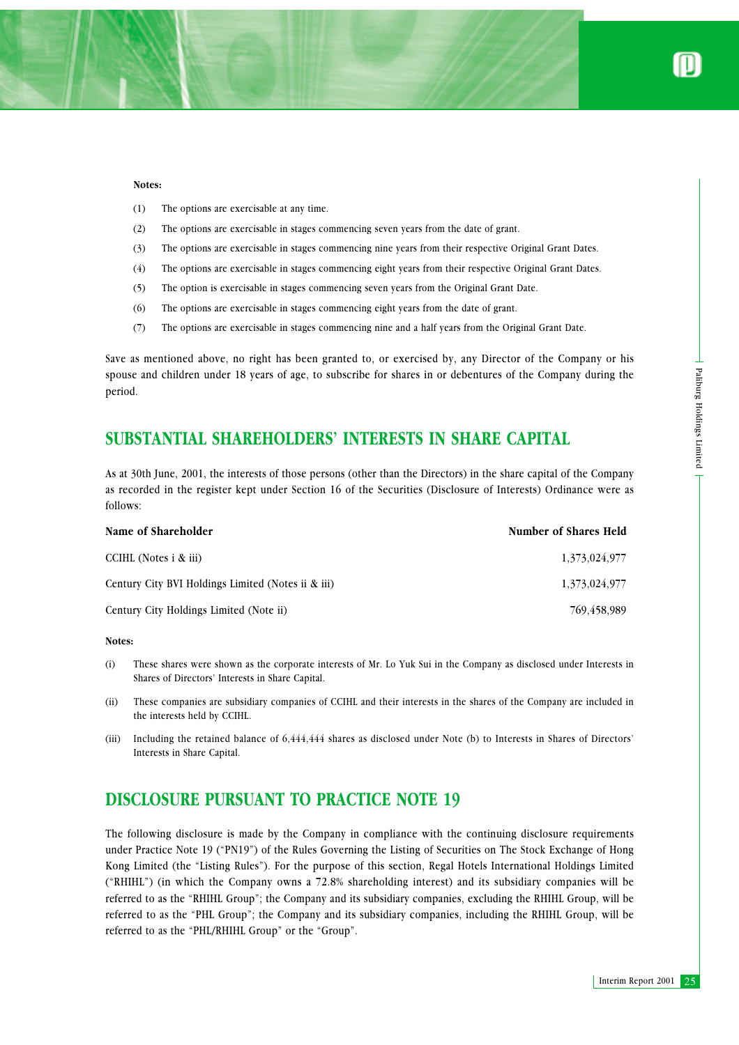#### **Notes:**

- (1) The options are exercisable at any time.
- (2) The options are exercisable in stages commencing seven years from the date of grant.
- (3) The options are exercisable in stages commencing nine years from their respective Original Grant Dates.
- (4) The options are exercisable in stages commencing eight years from their respective Original Grant Dates.
- (5) The option is exercisable in stages commencing seven years from the Original Grant Date.
- (6) The options are exercisable in stages commencing eight years from the date of grant.
- (7) The options are exercisable in stages commencing nine and a half years from the Original Grant Date.

Save as mentioned above, no right has been granted to, or exercised by, any Director of the Company or his spouse and children under 18 years of age, to subscribe for shares in or debentures of the Company during the period.

# **SUBSTANTIAL SHAREHOLDERS' INTERESTS IN SHARE CAPITAL**

As at 30th June, 2001, the interests of those persons (other than the Directors) in the share capital of the Company as recorded in the register kept under Section 16 of the Securities (Disclosure of Interests) Ordinance were as follows:

| Name of Shareholder                                  | <b>Number of Shares Held</b> |
|------------------------------------------------------|------------------------------|
| CCIHL (Notes $\mathbf{i} \mathbf{\&} \mathbf{iii}$ ) | 1,373,024,977                |
| Century City BVI Holdings Limited (Notes ii & iii)   | 1,373,024,977                |
| Century City Holdings Limited (Note ii)              | 769.458.989                  |

#### **Notes:**

- (i) These shares were shown as the corporate interests of Mr. Lo Yuk Sui in the Company as disclosed under Interests in Shares of Directors' Interests in Share Capital.
- (ii) These companies are subsidiary companies of CCIHL and their interests in the shares of the Company are included in the interests held by CCIHL.
- (iii) Including the retained balance of 6,444,444 shares as disclosed under Note (b) to Interests in Shares of Directors' Interests in Share Capital.

# **DISCLOSURE PURSUANT TO PRACTICE NOTE 19**

ing the<br>
Engineering the<br>
Dempany<br>
were as<br>
Held<br>
24,977<br>
24,977<br>
28,989<br>
erests in<br>
luded in<br>
irectors'<br>
erests in<br>
luded in<br>
irectors'<br>
erests in<br>
Luded in<br>
irectors'<br>
Enterim Report 2001<br>
25<br>
Interim Report 2001<br>
25 The following disclosure is made by the Company in compliance with the continuing disclosure requirements under Practice Note 19 ("PN19") of the Rules Governing the Listing of Securities on The Stock Exchange of Hong Kong Limited (the "Listing Rules"). For the purpose of this section, Regal Hotels International Holdings Limited ("RHIHL") (in which the Company owns a 72.8% shareholding interest) and its subsidiary companies will be referred to as the "RHIHL Group"; the Company and its subsidiary companies, excluding the RHIHL Group, will be referred to as the "PHL Group"; the Company and its subsidiary companies, including the RHIHL Group, will be referred to as the "PHL/RHIHL Group" or the "Group".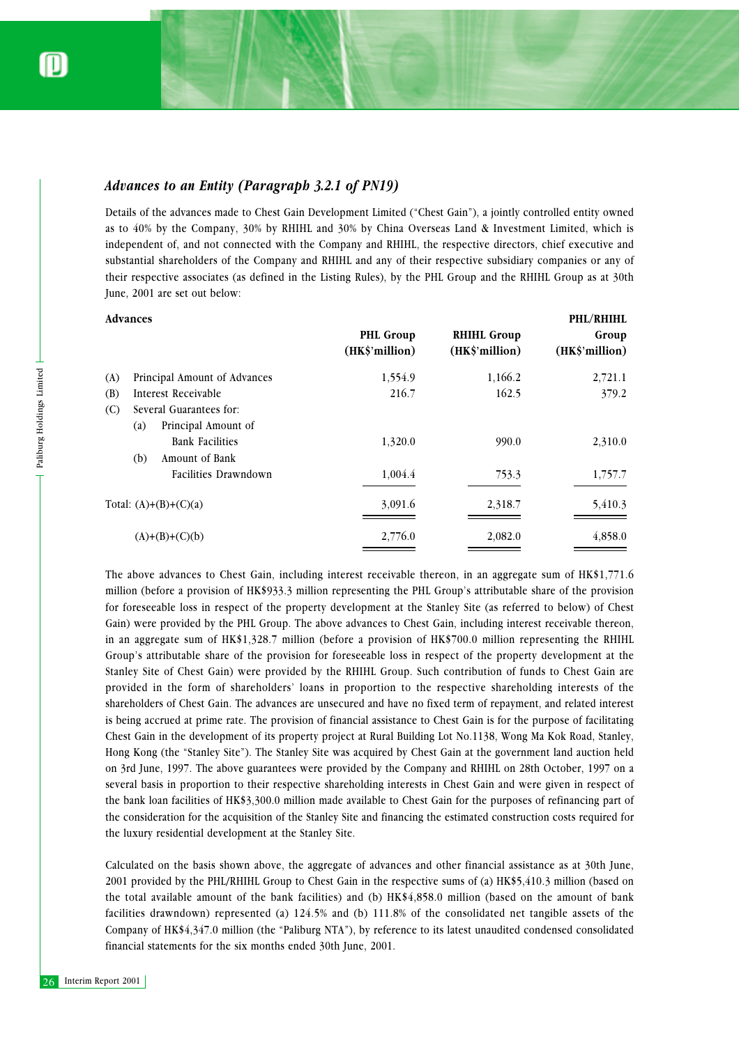### *Advances to an Entity (Paragraph 3.2.1 of PN19)*

Details of the advances made to Chest Gain Development Limited ("Chest Gain"), a jointly controlled entity owned as to 40% by the Company, 30% by RHIHL and 30% by China Overseas Land & Investment Limited, which is independent of, and not connected with the Company and RHIHL, the respective directors, chief executive and substantial shareholders of the Company and RHIHL and any of their respective subsidiary companies or any of their respective associates (as defined in the Listing Rules), by the PHL Group and the RHIHL Group as at 30th June, 2001 are set out below:

|     | <b>Advances</b>                                       |                                    |                                      | PHL/RHIHL               |
|-----|-------------------------------------------------------|------------------------------------|--------------------------------------|-------------------------|
|     |                                                       | <b>PHL Group</b><br>(HK\$'million) | <b>RHIHL Group</b><br>(HK\$'million) | Group<br>(HK\$'million) |
| (A) | Principal Amount of Advances                          | 1,554.9                            | 1,166.2                              | 2,721.1                 |
| (B) | Interest Receivable                                   | 216.7                              | 162.5                                | 379.2                   |
| (C) | Several Guarantees for:<br>Principal Amount of<br>(a) |                                    |                                      |                         |
|     | <b>Bank Facilities</b>                                | 1,320.0                            | 990.0                                | 2,310.0                 |
|     | Amount of Bank<br>(b)                                 |                                    |                                      |                         |
|     | Facilities Drawndown                                  | 1,004.4                            | 753.3                                | 1,757.7                 |
|     | Total: $(A)+(B)+(C)(a)$                               | 3,091.6                            | 2,318.7                              | 5,410.3                 |
|     | $(A)+(B)+(C)(b)$                                      | 2,776.0                            | 2,082.0                              | 4,858.0                 |

26 Interim Report 2001<br>
26 Interim Report 2001<br>
26 Interim Report 2001<br>
26 Interim Report 2001<br>
26 Interim Report 2001<br>
26 Interim Report 2001<br>
26 Interim Report 2001<br>
201 Interim Report 2001<br>
201 Interim Report 2001<br>
201 The above advances to Chest Gain, including interest receivable thereon, in an aggregate sum of HK\$1,771.6 million (before a provision of HK\$933.3 million representing the PHL Group's attributable share of the provision for foreseeable loss in respect of the property development at the Stanley Site (as referred to below) of Chest Gain) were provided by the PHL Group. The above advances to Chest Gain, including interest receivable thereon, in an aggregate sum of HK\$1,328.7 million (before a provision of HK\$700.0 million representing the RHIHL Group's attributable share of the provision for foreseeable loss in respect of the property development at the Stanley Site of Chest Gain) were provided by the RHIHL Group. Such contribution of funds to Chest Gain are provided in the form of shareholders' loans in proportion to the respective shareholding interests of the shareholders of Chest Gain. The advances are unsecured and have no fixed term of repayment, and related interest is being accrued at prime rate. The provision of financial assistance to Chest Gain is for the purpose of facilitating Chest Gain in the development of its property project at Rural Building Lot No.1138, Wong Ma Kok Road, Stanley, Hong Kong (the "Stanley Site"). The Stanley Site was acquired by Chest Gain at the government land auction held on 3rd June, 1997. The above guarantees were provided by the Company and RHIHL on 28th October, 1997 on a several basis in proportion to their respective shareholding interests in Chest Gain and were given in respect of the bank loan facilities of HK\$3,300.0 million made available to Chest Gain for the purposes of refinancing part of the consideration for the acquisition of the Stanley Site and financing the estimated construction costs required for the luxury residential development at the Stanley Site.

Calculated on the basis shown above, the aggregate of advances and other financial assistance as at 30th June, 2001 provided by the PHL/RHIHL Group to Chest Gain in the respective sums of (a) HK\$5,410.3 million (based on the total available amount of the bank facilities) and (b) HK\$4,858.0 million (based on the amount of bank facilities drawndown) represented (a) 124.5% and (b) 111.8% of the consolidated net tangible assets of the Company of HK\$4,347.0 million (the "Paliburg NTA"), by reference to its latest unaudited condensed consolidated financial statements for the six months ended 30th June, 2001.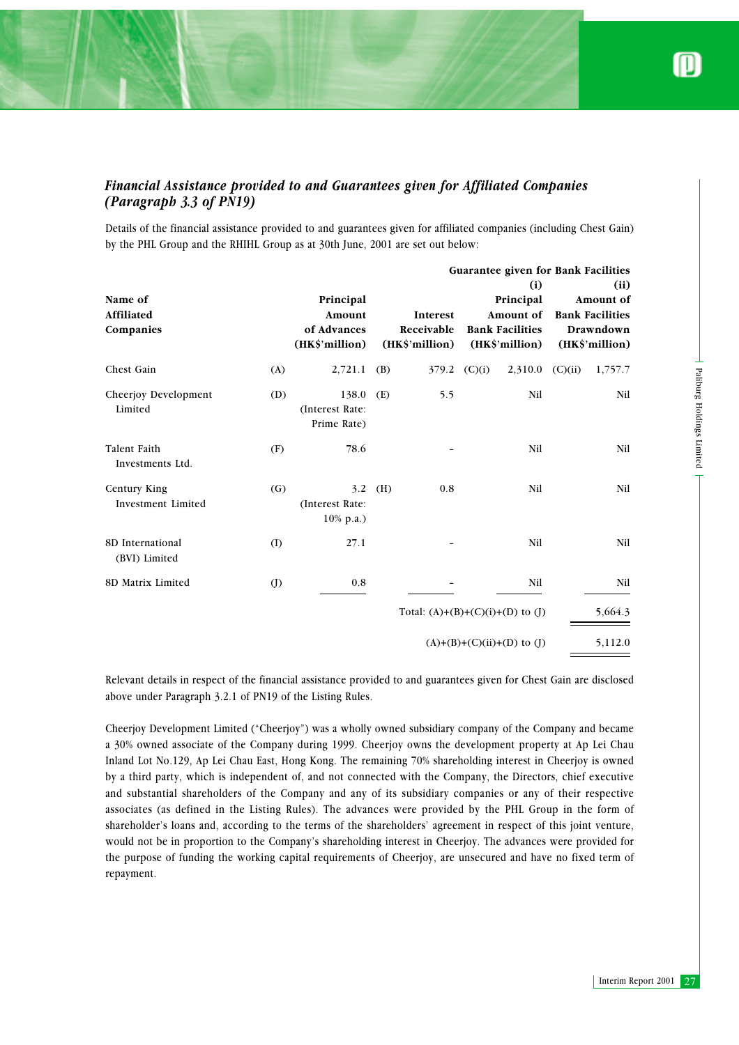## *Financial Assistance provided to and Guarantees given for Affiliated Companies (Paragraph 3.3 of PN19)*

Details of the financial assistance provided to and guarantees given for affiliated companies (including Chest Gain) by the PHL Group and the RHIHL Group as at 30th June, 2001 are set out below:

|                                                                                                                                                                                                                                                                                                                                                                                                                                                                                                                                                                                                                                                                                                                                                                                                                                                                                                                                                                                                                                                    | Guarantee given for Bank Facilities |                                                      |     |                                          |                |                                                                           |                                                                            |                           |
|----------------------------------------------------------------------------------------------------------------------------------------------------------------------------------------------------------------------------------------------------------------------------------------------------------------------------------------------------------------------------------------------------------------------------------------------------------------------------------------------------------------------------------------------------------------------------------------------------------------------------------------------------------------------------------------------------------------------------------------------------------------------------------------------------------------------------------------------------------------------------------------------------------------------------------------------------------------------------------------------------------------------------------------------------|-------------------------------------|------------------------------------------------------|-----|------------------------------------------|----------------|---------------------------------------------------------------------------|----------------------------------------------------------------------------|---------------------------|
| Name of<br>Affiliated<br>Companies                                                                                                                                                                                                                                                                                                                                                                                                                                                                                                                                                                                                                                                                                                                                                                                                                                                                                                                                                                                                                 |                                     | Principal<br>Amount<br>of Advances<br>(HK\$'million) |     | Interest<br>Receivable<br>(HK\$'million) |                | (i)<br>Principal<br>Amount of<br><b>Bank Facilities</b><br>(HK\$'million) | (ii)<br>Amount of<br><b>Bank Facilities</b><br>Drawndown<br>(HK\$'million) |                           |
| Chest Gain                                                                                                                                                                                                                                                                                                                                                                                                                                                                                                                                                                                                                                                                                                                                                                                                                                                                                                                                                                                                                                         | (A)                                 | 2,721.1                                              | (B) |                                          | $379.2$ (C)(i) | $2,310.0$ (C)(ii)                                                         | 1,757.7                                                                    |                           |
| Cheerjoy Development<br>Limited                                                                                                                                                                                                                                                                                                                                                                                                                                                                                                                                                                                                                                                                                                                                                                                                                                                                                                                                                                                                                    | (D)                                 | 138.0<br>(Interest Rate:<br>Prime Rate)              | (E) | 5.5                                      |                | Nil                                                                       | Nil                                                                        | Paliburg Holdings Limited |
| Talent Faith<br>Investments Ltd.                                                                                                                                                                                                                                                                                                                                                                                                                                                                                                                                                                                                                                                                                                                                                                                                                                                                                                                                                                                                                   | (F)                                 | 78.6                                                 |     |                                          |                | Nil                                                                       | Nil                                                                        |                           |
| Century King<br>Investment Limited                                                                                                                                                                                                                                                                                                                                                                                                                                                                                                                                                                                                                                                                                                                                                                                                                                                                                                                                                                                                                 | (G)                                 | 3.2<br>(Interest Rate:<br>10% p.a.)                  | (H) | 0.8                                      |                | Nil                                                                       | Nil                                                                        |                           |
| 8D International<br>(BVI) Limited                                                                                                                                                                                                                                                                                                                                                                                                                                                                                                                                                                                                                                                                                                                                                                                                                                                                                                                                                                                                                  | (1)                                 | 27.1                                                 |     |                                          |                | Nil                                                                       | Nil                                                                        |                           |
| 8D Matrix Limited                                                                                                                                                                                                                                                                                                                                                                                                                                                                                                                                                                                                                                                                                                                                                                                                                                                                                                                                                                                                                                  | $\circ$                             | 0.8                                                  |     |                                          |                | Nil                                                                       | Nil                                                                        |                           |
|                                                                                                                                                                                                                                                                                                                                                                                                                                                                                                                                                                                                                                                                                                                                                                                                                                                                                                                                                                                                                                                    |                                     |                                                      |     | Total: $(A)+(B)+(C)(i)+(D)$ to $(J)$     |                |                                                                           | 5,664.3                                                                    |                           |
|                                                                                                                                                                                                                                                                                                                                                                                                                                                                                                                                                                                                                                                                                                                                                                                                                                                                                                                                                                                                                                                    |                                     |                                                      |     |                                          |                | $(A)+(B)+(C)(ii)+(D)$ to (J)                                              | 5,112.0                                                                    |                           |
| Relevant details in respect of the financial assistance provided to and guarantees given for Chest Gain are disclosed<br>above under Paragraph 3.2.1 of PN19 of the Listing Rules.                                                                                                                                                                                                                                                                                                                                                                                                                                                                                                                                                                                                                                                                                                                                                                                                                                                                 |                                     |                                                      |     |                                          |                |                                                                           |                                                                            |                           |
| Cheerjoy Development Limited ("Cheerjoy") was a wholly owned subsidiary company of the Company and became<br>a 30% owned associate of the Company during 1999. Cheerjoy owns the development property at Ap Lei Chau<br>Inland Lot No.129, Ap Lei Chau East, Hong Kong. The remaining 70% shareholding interest in Cheerjoy is owned<br>by a third party, which is independent of, and not connected with the Company, the Directors, chief executive<br>and substantial shareholders of the Company and any of its subsidiary companies or any of their respective<br>associates (as defined in the Listing Rules). The advances were provided by the PHL Group in the form of<br>shareholder's loans and, according to the terms of the shareholders' agreement in respect of this joint venture,<br>would not be in proportion to the Company's shareholding interest in Cheerjoy. The advances were provided for<br>the purpose of funding the working capital requirements of Cheerjoy, are unsecured and have no fixed term of<br>repayment. |                                     |                                                      |     |                                          |                |                                                                           |                                                                            |                           |
|                                                                                                                                                                                                                                                                                                                                                                                                                                                                                                                                                                                                                                                                                                                                                                                                                                                                                                                                                                                                                                                    |                                     |                                                      |     |                                          |                |                                                                           |                                                                            |                           |
|                                                                                                                                                                                                                                                                                                                                                                                                                                                                                                                                                                                                                                                                                                                                                                                                                                                                                                                                                                                                                                                    |                                     |                                                      |     |                                          |                |                                                                           |                                                                            | Interim Report 2001 27    |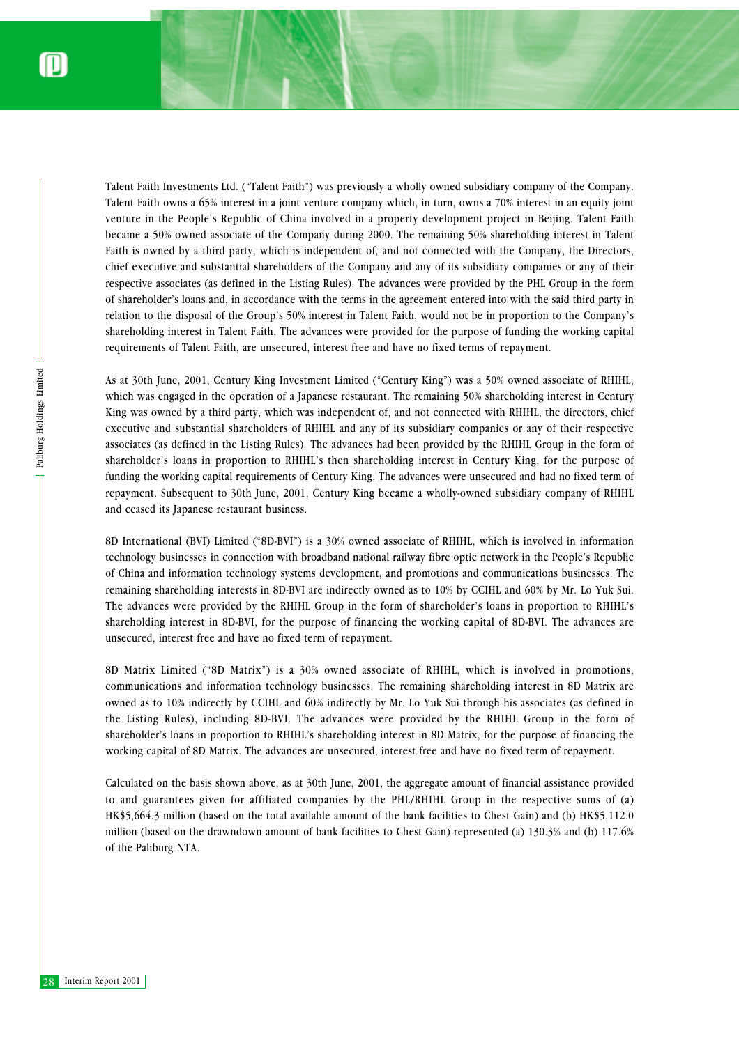Talent Faith Investments Ltd. ("Talent Faith") was previously a wholly owned subsidiary company of the Company. Talent Faith owns a 65% interest in a joint venture company which, in turn, owns a 70% interest in an equity joint venture in the People's Republic of China involved in a property development project in Beijing. Talent Faith became a 50% owned associate of the Company during 2000. The remaining 50% shareholding interest in Talent Faith is owned by a third party, which is independent of, and not connected with the Company, the Directors, chief executive and substantial shareholders of the Company and any of its subsidiary companies or any of their respective associates (as defined in the Listing Rules). The advances were provided by the PHL Group in the form of shareholder's loans and, in accordance with the terms in the agreement entered into with the said third party in relation to the disposal of the Group's 50% interest in Talent Faith, would not be in proportion to the Company's shareholding interest in Talent Faith. The advances were provided for the purpose of funding the working capital requirements of Talent Faith, are unsecured, interest free and have no fixed terms of repayment.

As at 30<br>
which v<br>
King wa<br>
executi<br>
associat<br>
sharehoc<br>
funding<br>
repayme<br>
and cea<br>
8D Inte<br>
technol<br>
of Chin<br>
remaini The adv<br>
sharehoc<br>
unsecur<br>
8D Mat<br>
commu<br>
owned<br>
the Lis<br>
sharehoc<br>
working<br>
Calculat<br>
to and<br>
HK\$5,6<br> As at 30th June, 2001, Century King Investment Limited ("Century King") was a 50% owned associate of RHIHL, which was engaged in the operation of a Japanese restaurant. The remaining 50% shareholding interest in Century King was owned by a third party, which was independent of, and not connected with RHIHL, the directors, chief executive and substantial shareholders of RHIHL and any of its subsidiary companies or any of their respective associates (as defined in the Listing Rules). The advances had been provided by the RHIHL Group in the form of shareholder's loans in proportion to RHIHL's then shareholding interest in Century King, for the purpose of funding the working capital requirements of Century King. The advances were unsecured and had no fixed term of repayment. Subsequent to 30th June, 2001, Century King became a wholly-owned subsidiary company of RHIHL and ceased its Japanese restaurant business.

8D International (BVI) Limited ("8D-BVI") is a 30% owned associate of RHIHL, which is involved in information technology businesses in connection with broadband national railway fibre optic network in the People's Republic of China and information technology systems development, and promotions and communications businesses. The remaining shareholding interests in 8D-BVI are indirectly owned as to 10% by CCIHL and 60% by Mr. Lo Yuk Sui. The advances were provided by the RHIHL Group in the form of shareholder's loans in proportion to RHIHL's shareholding interest in 8D-BVI, for the purpose of financing the working capital of 8D-BVI. The advances are unsecured, interest free and have no fixed term of repayment.

8D Matrix Limited ("8D Matrix") is a 30% owned associate of RHIHL, which is involved in promotions, communications and information technology businesses. The remaining shareholding interest in 8D Matrix are owned as to 10% indirectly by CCIHL and 60% indirectly by Mr. Lo Yuk Sui through his associates (as defined in the Listing Rules), including 8D-BVI. The advances were provided by the RHIHL Group in the form of shareholder's loans in proportion to RHIHL's shareholding interest in 8D Matrix, for the purpose of financing the working capital of 8D Matrix. The advances are unsecured, interest free and have no fixed term of repayment.

Calculated on the basis shown above, as at 30th June, 2001, the aggregate amount of financial assistance provided to and guarantees given for affiliated companies by the PHL/RHIHL Group in the respective sums of (a) HK\$5,664.3 million (based on the total available amount of the bank facilities to Chest Gain) and (b) HK\$5,112.0 million (based on the drawndown amount of bank facilities to Chest Gain) represented (a) 130.3% and (b) 117.6% of the Paliburg NTA.